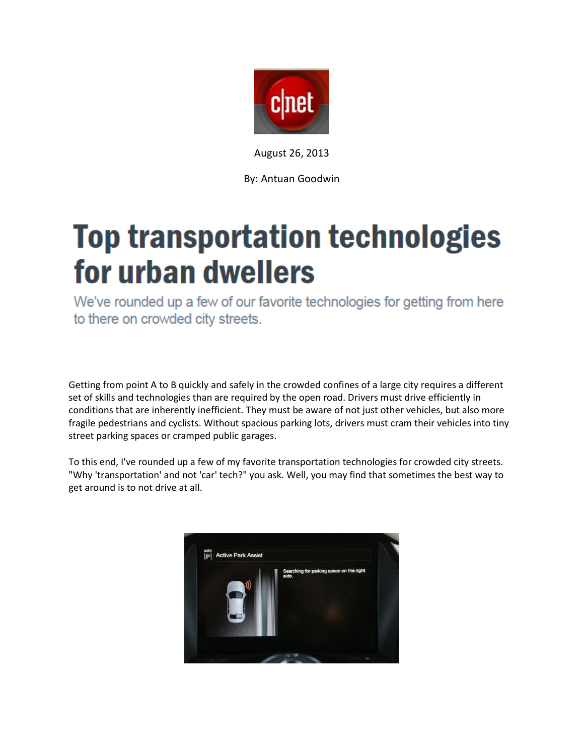

August 26, 2013

By: Antuan Goodwin

# **Top transportation technologies** for urban dwellers

We've rounded up a few of our favorite technologies for getting from here to there on crowded city streets.

Getting from point A to B quickly and safely in the crowded confines of a large city requires a different set of skills and technologies than are required by the open road. Drivers must drive efficiently in conditions that are inherently inefficient. They must be aware of not just other vehicles, but also more fragile pedestrians and cyclists. Without spacious parking lots, drivers must cram their vehicles into tiny street parking spaces or cramped public garages.

To this end, I've rounded up a few of my favorite transportation technologies for crowded city streets. "Why 'transportation' and not 'car' tech?" you ask. Well, you may find that sometimes the best way to get around is to not drive at all.

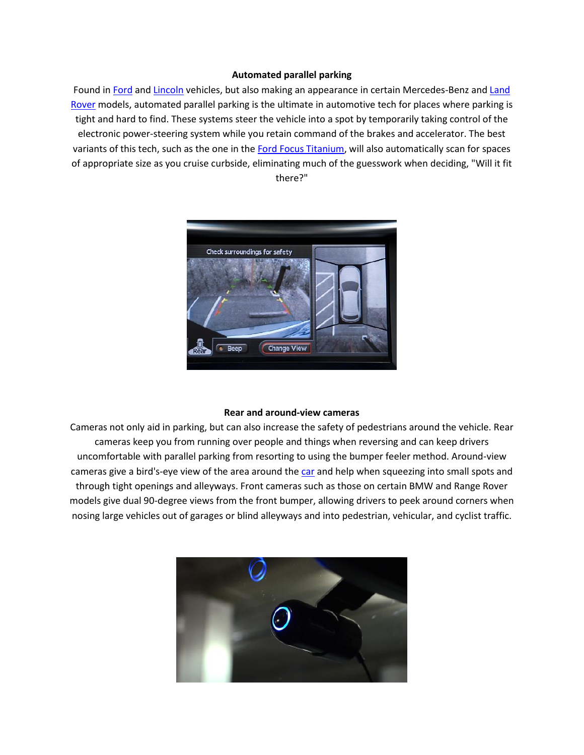### **Automated parallel parking**

Found i[n Ford](http://reviews.cnet.com/suv/2013-ford-escape-titanium/4505-10868_7-35477688.html) and [Lincoln](http://reviews.cnet.com/wagon/2010-lincoln-mkt/4505-10866_7-33894701.html) vehicles, but also making an appearance in certain Mercedes-Benz an[d Land](http://reviews.cnet.com/sedan/2013-land-rover-range/4505-10865_7-35796802.html)  [Rover](http://reviews.cnet.com/sedan/2013-land-rover-range/4505-10865_7-35796802.html) models, automated parallel parking is the ultimate in automotive tech for places where parking is tight and hard to find. These systems steer the vehicle into a spot by temporarily taking control of the electronic power-steering system while you retain command of the brakes and accelerator. The best variants of this tech, such as the one in the [Ford Focus Titanium,](http://reviews.cnet.com/coupe-hatchback/2012-ford-focus-titanium/4505-10867_7-34641485.html) will also automatically scan for spaces of appropriate size as you cruise curbside, eliminating much of the guesswork when deciding, "Will it fit there?"



#### **Rear and around-view cameras**

Cameras not only aid in parking, but can also increase the safety of pedestrians around the vehicle. Rear cameras keep you from running over people and things when reversing and can keep drivers uncomfortable with parallel parking from resorting to using the bumper feeler method. Around-view cameras give a bird's-eye view of the area around the [car](http://reviews.cnet.com/car-tech/) and help when squeezing into small spots and through tight openings and alleyways. Front cameras such as those on certain BMW and Range Rover models give dual 90-degree views from the front bumper, allowing drivers to peek around corners when nosing large vehicles out of garages or blind alleyways and into pedestrian, vehicular, and cyclist traffic.

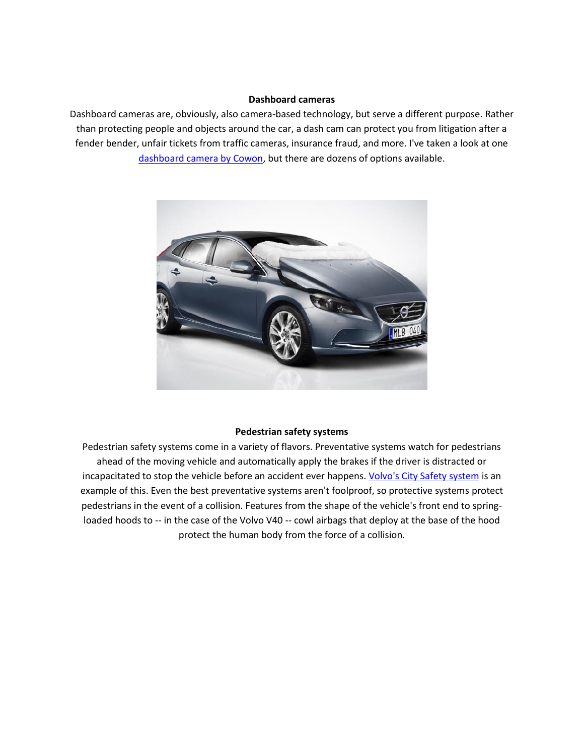## **Dashboard cameras**

Dashboard cameras are, obviously, also camera-based technology, but serve a different purpose. Rather than protecting people and objects around the car, a dash cam can protect you from litigation after a fender bender, unfair tickets from traffic cameras, insurance fraud, and more. I've taken a look at one [dashboard camera by Cowon,](http://reviews.cnet.com/webcams/cowon-auto-capsule-ac1/4505-6502_7-35411031.html) but there are dozens of options available.



### **Pedestrian safety systems**

Pedestrian safety systems come in a variety of flavors. Preventative systems watch for pedestrians ahead of the moving vehicle and automatically apply the brakes if the driver is distracted or incapacitated to stop the vehicle before an accident ever happens[. Volvo's City Safety system](http://reviews.cnet.com/8301-13746_7-57594979-48/volvo-sees-crash-free-car-by-2020/) is an example of this. Even the best preventative systems aren't foolproof, so protective systems protect pedestrians in the event of a collision. Features from the shape of the vehicle's front end to springloaded hoods to -- in the case of the Volvo V40 -- cowl airbags that deploy at the base of the hood protect the human body from the force of a collision.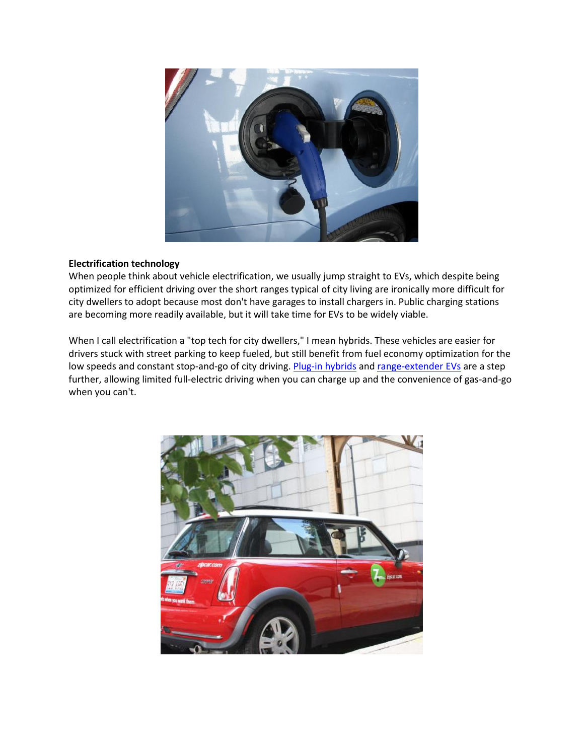

## **Electrification technology**

When people think about vehicle electrification, we usually jump straight to EVs, which despite being optimized for efficient driving over the short ranges typical of city living are ironically more difficult for city dwellers to adopt because most don't have garages to install chargers in. Public charging stations are becoming more readily available, but it will take time for EVs to be widely viable.

When I call electrification a "top tech for city dwellers," I mean hybrids. These vehicles are easier for drivers stuck with street parking to keep fueled, but still benefit from fuel economy optimization for the low speeds and constant stop-and-go of city driving[. Plug-in hybrids](http://reviews.cnet.com/coupe-hatchback/2012-toyota-prius-plug/4505-10867_7-35370123.html) an[d range-extender EVs](http://reviews.cnet.com/coupe-hatchback/2012-chevrolet-volt/4505-10867_7-35332353.html) are a step further, allowing limited full-electric driving when you can charge up and the convenience of gas-and-go when you can't.

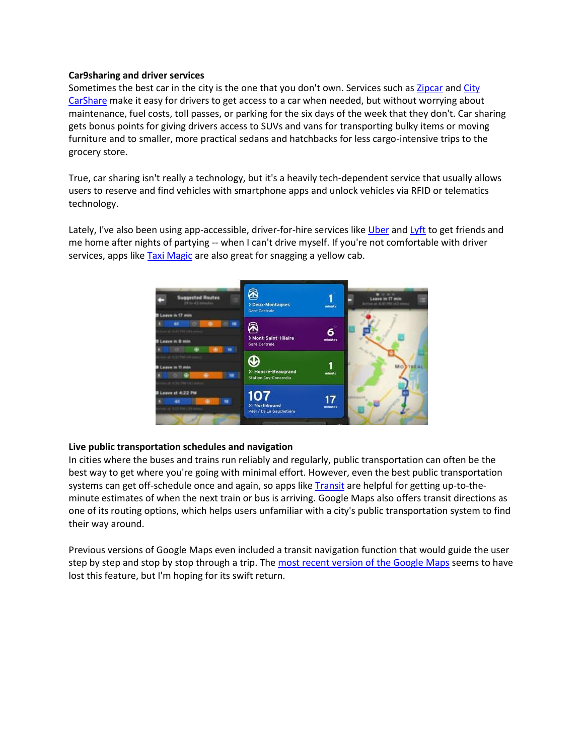## **Car9sharing and driver services**

Sometimes the best car in the city is the one that you don't own. Services such as [Zipcar](http://download.cnet.com/Zipcar/3000-31713_4-75115260.html) and City [CarShare](http://download.cnet.com/City-CarShare/3000-31713_4-75751945.html) make it easy for drivers to get access to a car when needed, but without worrying about maintenance, fuel costs, toll passes, or parking for the six days of the week that they don't. Car sharing gets bonus points for giving drivers access to SUVs and vans for transporting bulky items or moving furniture and to smaller, more practical sedans and hatchbacks for less cargo-intensive trips to the grocery store.

True, car sharing isn't really a technology, but it's a heavily tech-dependent service that usually allows users to reserve and find vehicles with smartphone apps and unlock vehicles via RFID or telematics technology.

Lately, I've also been using app-accessible, driver-for-hire services like [Uber](http://download.cnet.com/Uber/3000-20428_4-75454071.html) and [Lyft](http://download.cnet.com/Lyft-On-Demand-Ridesharing/3000-20428_4-75725535.html) to get friends and me home after nights of partying -- when I can't drive myself. If you're not comfortable with driver services, apps like **Taxi Magic** are also great for snagging a yellow cab.



## **Live public transportation schedules and navigation**

In cities where the buses and trains run reliably and regularly, public transportation can often be the best way to get where you're going with minimal effort. However, even the best public transportation systems can get off-schedule once and again, so apps like **Transit are helpful for getting up-to-the**minute estimates of when the next train or bus is arriving. Google Maps also offers transit directions as one of its routing options, which helps users unfamiliar with a city's public transportation system to find their way around.

Previous versions of Google Maps even included a transit navigation function that would guide the user step by step and stop by stop through a trip. Th[e most recent version of the Google Maps](http://download.cnet.com/Google-Maps/3000-20426_4-75115642.html) seems to have lost this feature, but I'm hoping for its swift return.